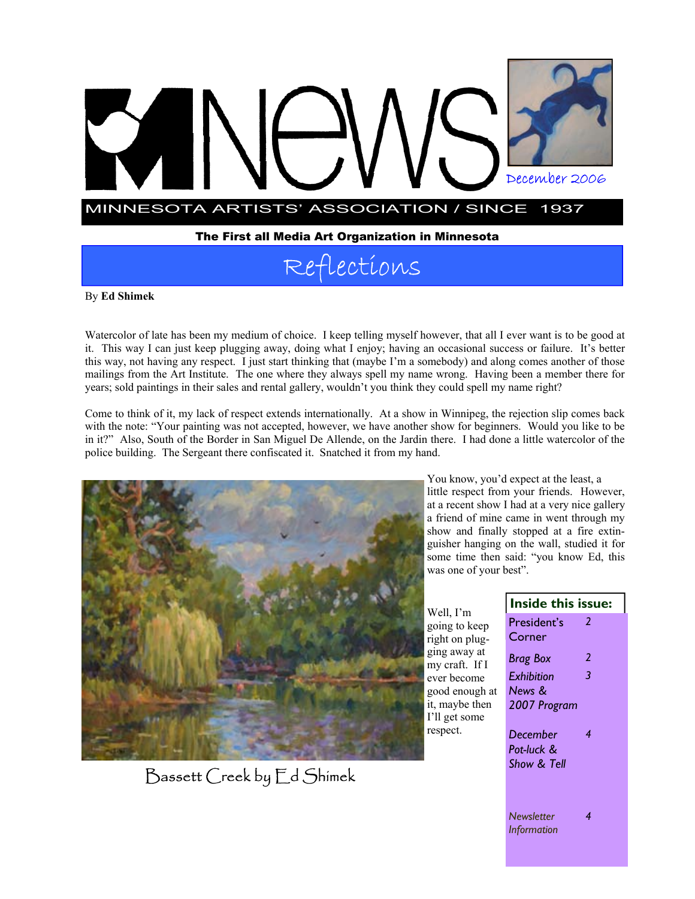

# Reflections

By **Ed Shimek** 

Watercolor of late has been my medium of choice. I keep telling myself however, that all I ever want is to be good at it. This way I can just keep plugging away, doing what I enjoy; having an occasional success or failure. It's better this way, not having any respect. I just start thinking that (maybe I'm a somebody) and along comes another of those mailings from the Art Institute. The one where they always spell my name wrong. Having been a member there for years; sold paintings in their sales and rental gallery, wouldn't you think they could spell my name right?

Come to think of it, my lack of respect extends internationally. At a show in Winnipeg, the rejection slip comes back with the note: "Your painting was not accepted, however, we have another show for beginners. Would you like to be in it?" Also, South of the Border in San Miguel De Allende, on the Jardin there. I had done a little watercolor of the police building. The Sergeant there confiscated it. Snatched it from my hand.



Bassett Creek by Ed Shimek

You know, you'd expect at the least, a little respect from your friends. However, at a recent show I had at a very nice gallery a friend of mine came in went through my show and finally stopped at a fire extinguisher hanging on the wall, studied it for some time then said: "you know Ed, this was one of your best".

|                                                                                                                                                                | Inside this issue:                                        |                         |
|----------------------------------------------------------------------------------------------------------------------------------------------------------------|-----------------------------------------------------------|-------------------------|
| Well, I'm<br>going to keep<br>right on plug-<br>ging away at<br>my craft. If I<br>ever become<br>good enough at<br>it, maybe then<br>I'll get some<br>respect. | President's<br>Corner<br>Brag Box<br>Exhibition<br>News & | $\mathcal{L}$<br>2<br>3 |
|                                                                                                                                                                | 2007 Program<br>December<br>Pot-luck &<br>Show & Tell     | 4                       |
|                                                                                                                                                                | <b>Newsletter</b><br>Information                          | 4                       |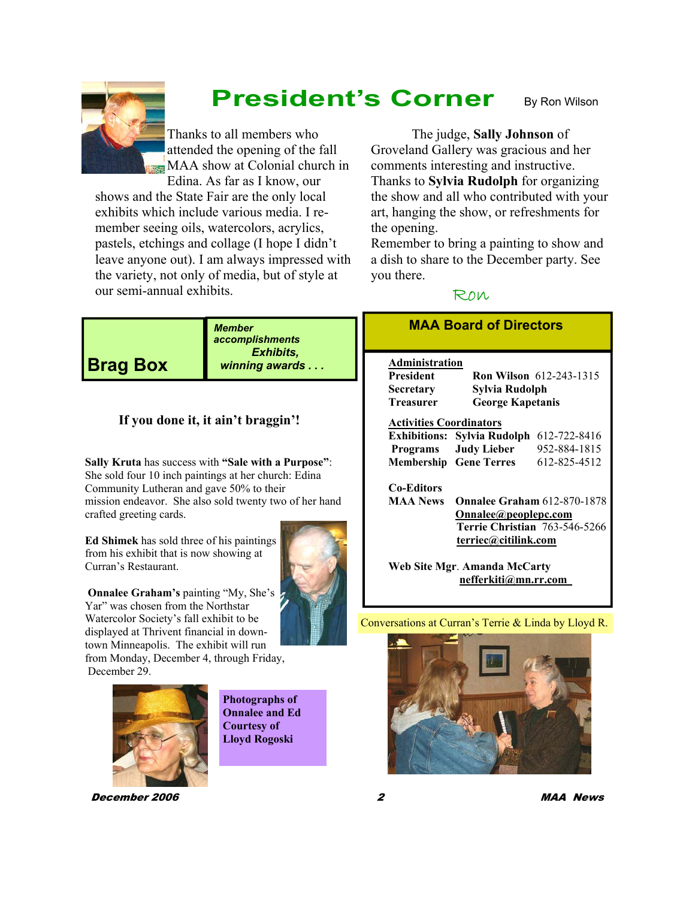Thanks to all members who attended the opening of the fall MAA show at Colonial church in Edina. As far as I know, our

 **President's Corner** 

shows and the State Fair are the only local exhibits which include various media. I remember seeing oils, watercolors, acrylics, pastels, etchings and collage (I hope I didn't leave anyone out). I am always impressed with the variety, not only of media, but of style at our semi-annual exhibits.

 The judge, **Sally Johnson** of Groveland Gallery was gracious and her comments interesting and instructive. Thanks to **Sylvia Rudolph** for organizing the show and all who contributed with your art, hanging the show, or refreshments for the opening.

By Ron Wilson

Remember to bring a painting to show and a dish to share to the December party. See you there.

# Ron

**Brag Box** 

*Member accomplishments Exhibits, winning awards . . .* 

# **If you done it, it ain't braggin'!**

**Sally Kruta** has success with **"Sale with a Purpose"**: She sold four 10 inch paintings at her church: Edina Community Lutheran and gave 50% to their mission endeavor. She also sold twenty two of her hand crafted greeting cards.

**Ed Shimek** has sold three of his paintings from his exhibit that is now showing at Curran's Restaurant.



**Onnalee Graham's** painting "My, She's Yar" was chosen from the Northstar Watercolor Society's fall exhibit to be displayed at Thrivent financial in downtown Minneapolis. The exhibit will run

from Monday, December 4, through Friday, December 29.



**Photographs of Onnalee and Ed Courtesy of Lloyd Rogoski** 

# **MAA Board of Directors**

## **Administration**

**President Ron Wilson** 612-243-1315 **Secretary Sylvia Rudolph Treasurer George Kapetanis** 

### **Activities Coordinators**

|          | Exhibitions: Sylvia Rudolph 612-722-8416 |              |
|----------|------------------------------------------|--------------|
| Programs | <b>Judy Lieber</b>                       | 952-884-1815 |
|          | <b>Membership</b> Gene Terres            | 612-825-4512 |

# **Co-Editors**

**MAA News Onnalee Graham** 612-870-1878 **Onnalee@peoplepc.com Terrie Christian** 763-546-5266 **terriec@citilink.com**

**Web Site Mgr**. **Amanda McCarty nefferkiti@mn.rr.com** 

### Conversations at Curran's Terrie & Linda by Lloyd R.



December 2006 2 MAA News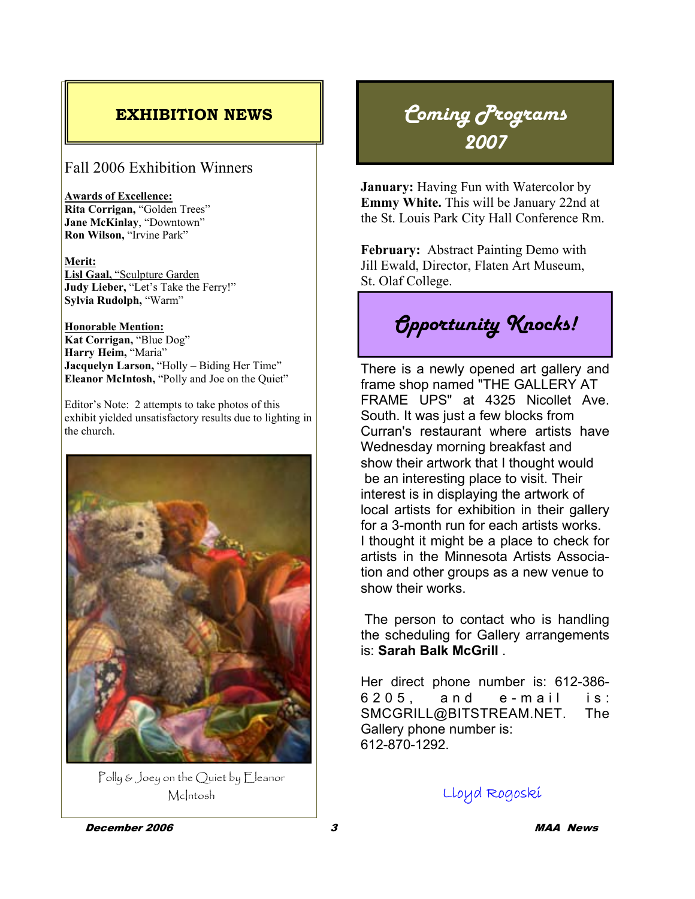# Fall 2006 Exhibition Winners

**Awards of Excellence: Rita Corrigan,** "Golden Trees" **Jane McKinlay**, "Downtown" **Ron Wilson,** "Irvine Park"

**Merit: Lisl Gaal,** "Sculpture Garden **Judy Lieber,** "Let's Take the Ferry!" **Sylvia Rudolph,** "Warm"

**Honorable Mention: Kat Corrigan,** "Blue Dog" **Harry Heim,** "Maria" **Jacquelyn Larson,** "Holly – Biding Her Time" **Eleanor McIntosh,** "Polly and Joe on the Quiet"

Editor's Note: 2 attempts to take photos of this exhibit yielded unsatisfactory results due to lighting in the church.



Polly & Joey on the Quiet by Eleanor McIntosh

# **EXHIBITION NEWS** *Coming Programs 2007*

**January:** Having Fun with Watercolor by **Emmy White.** This will be January 22nd at the St. Louis Park City Hall Conference Rm.

**February:** Abstract Painting Demo with Jill Ewald, Director, Flaten Art Museum, St. Olaf College.

*Opportunity Knocks!* 

There is a newly opened art gallery and frame shop named "THE GALLERY AT FRAME UPS" at 4325 Nicollet Ave. South. It was just a few blocks from Curran's restaurant where artists have Wednesday morning breakfast and show their artwork that I thought would be an interesting place to visit. Their interest is in displaying the artwork of local artists for exhibition in their gallery for a 3-month run for each artists works. I thought it might be a place to check for artists in the Minnesota Artists Association and other groups as a new venue to show their works.

 The person to contact who is handling the scheduling for Gallery arrangements is: **Sarah Balk McGrill** .

Her direct phone number is: 612-386-  $6205$ , and e-mail is: SMCGRILL@BITSTREAM.NET. The Gallery phone number is: 612-870-1292.

Lloyd Rogoski

December 2006 3 MAA News